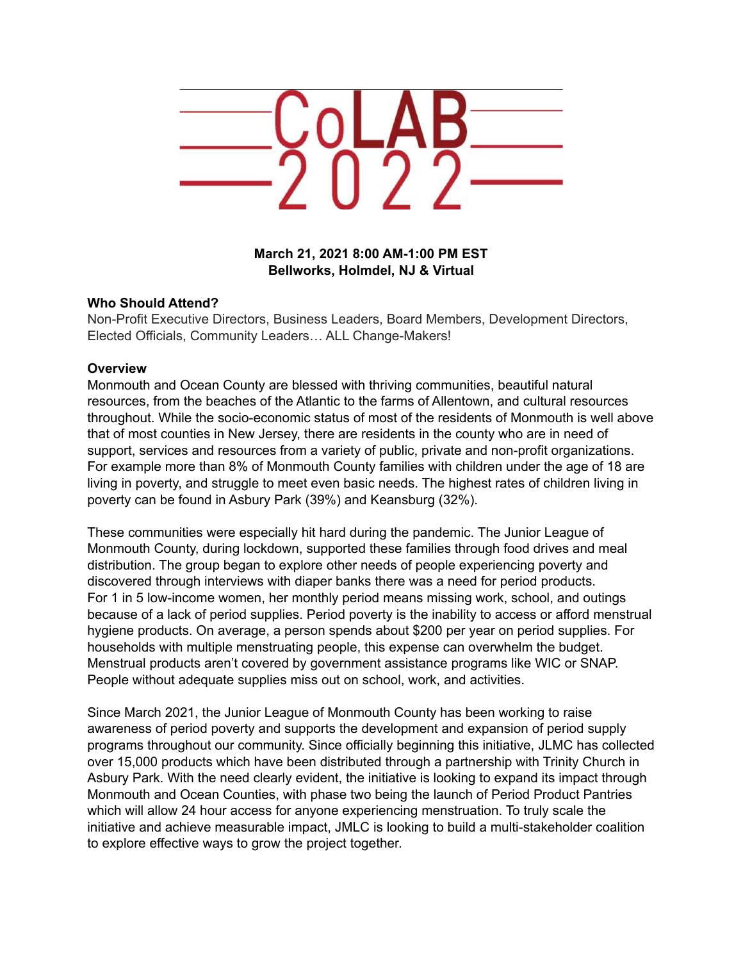

**March 21, 2021 8:00 AM-1:00 PM EST Bellworks, Holmdel, NJ & Virtual**

#### **Who Should Attend?**

Non-Profit Executive Directors, Business Leaders, Board Members, Development Directors, Elected Officials, Community Leaders… ALL Change-Makers!

#### **Overview**

Monmouth and Ocean County are blessed with thriving communities, beautiful natural resources, from the beaches of the Atlantic to the farms of Allentown, and cultural resources throughout. While the socio-economic status of most of the residents of Monmouth is well above that of most counties in New Jersey, there are residents in the county who are in need of support, services and resources from a variety of public, private and non-profit organizations. For example more than 8% of Monmouth County families with children under the age of 18 are living in poverty, and struggle to meet even basic needs. The highest rates of children living in poverty can be found in Asbury Park (39%) and Keansburg (32%).

These communities were especially hit hard during the pandemic. The Junior League of Monmouth County, during lockdown, supported these families through food drives and meal distribution. The group began to explore other needs of people experiencing poverty and discovered through interviews with diaper banks there was a need for period products. For 1 in 5 low-income women, her monthly period means missing work, school, and outings because of a lack of period supplies. Period poverty is the inability to access or afford menstrual hygiene products. On average, a person spends about \$200 per year on period supplies. For households with multiple menstruating people, this expense can overwhelm the budget. Menstrual products aren't covered by government assistance programs like WIC or SNAP. People without adequate supplies miss out on school, work, and activities.

Since March 2021, the Junior League of Monmouth County has been working to raise awareness of period poverty and supports the development and expansion of period supply programs throughout our community. Since officially beginning this initiative, JLMC has collected over 15,000 products which have been distributed through a partnership with Trinity Church in Asbury Park. With the need clearly evident, the initiative is looking to expand its impact through Monmouth and Ocean Counties, with phase two being the launch of Period Product Pantries which will allow 24 hour access for anyone experiencing menstruation. To truly scale the initiative and achieve measurable impact, JMLC is looking to build a multi-stakeholder coalition to explore effective ways to grow the project together.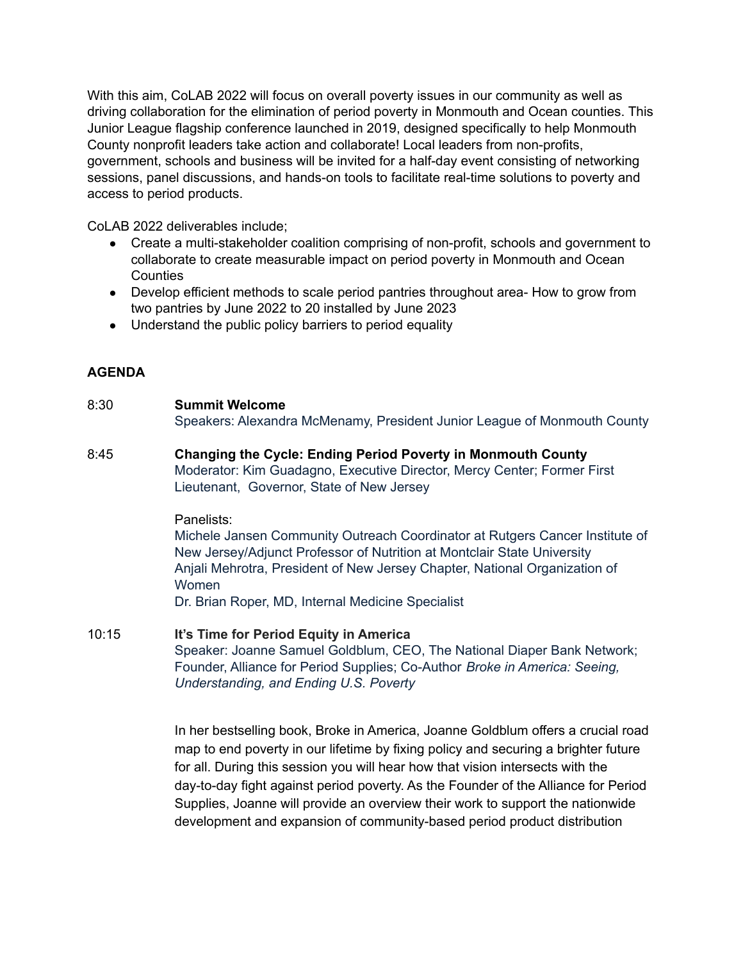With this aim, CoLAB 2022 will focus on overall poverty issues in our community as well as driving collaboration for the elimination of period poverty in Monmouth and Ocean counties. This Junior League flagship conference launched in 2019, designed specifically to help Monmouth County nonprofit leaders take action and collaborate! Local leaders from non-profits, government, schools and business will be invited for a half-day event consisting of networking sessions, panel discussions, and hands-on tools to facilitate real-time solutions to poverty and access to period products.

CoLAB 2022 deliverables include;

- Create a multi-stakeholder coalition comprising of non-profit, schools and government to collaborate to create measurable impact on period poverty in Monmouth and Ocean **Counties**
- Develop efficient methods to scale period pantries throughout area- How to grow from two pantries by June 2022 to 20 installed by June 2023
- Understand the public policy barriers to period equality

## **AGENDA**

# 8:30 **Summit Welcome** Speakers: Alexandra McMenamy, President Junior League of Monmouth County

8:45 **Changing the Cycle: Ending Period Poverty in Monmouth County** Moderator: Kim Guadagno, Executive Director, Mercy Center; Former First Lieutenant, Governor, State of New Jersey

## Panelists:

Michele Jansen Community Outreach Coordinator at Rutgers Cancer Institute of New Jersey/Adjunct Professor of Nutrition at Montclair State University Anjali Mehrotra, President of New Jersey Chapter, National Organization of Women

Dr. Brian Roper, MD, Internal Medicine Specialist

10:15 **It's Time for Period Equity in America** Speaker: Joanne Samuel Goldblum, CEO, The National Diaper Bank Network; Founder, Alliance for Period Supplies; Co-Author *Broke in America: Seeing, Understanding, and Ending U.S. Poverty*

> In her bestselling book, Broke in America, Joanne Goldblum offers a crucial road map to end poverty in our lifetime by fixing policy and securing a brighter future for all. During this session you will hear how that vision intersects with the day-to-day fight against period poverty. As the Founder of the Alliance for Period Supplies, Joanne will provide an overview their work to support the nationwide development and expansion of community-based period product distribution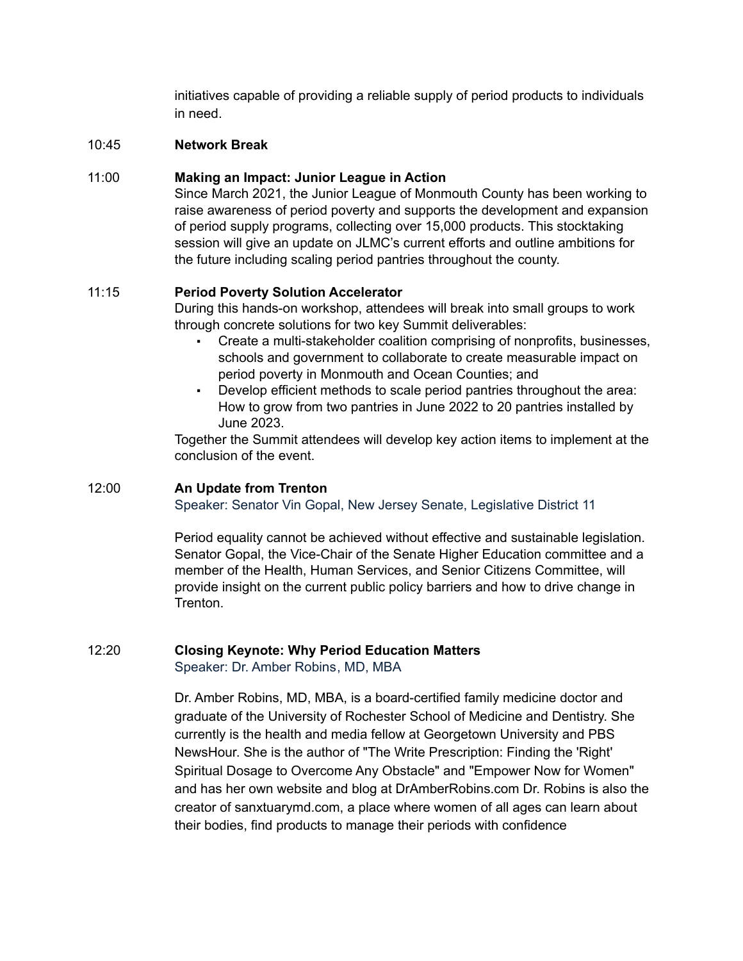initiatives capable of providing a reliable supply of period products to individuals in need.

#### 10:45 **Network Break**

### 11:00 **Making an Impact: Junior League in Action**

Since March 2021, the Junior League of Monmouth County has been working to raise awareness of period poverty and supports the development and expansion of period supply programs, collecting over 15,000 products. This stocktaking session will give an update on JLMC's current efforts and outline ambitions for the future including scaling period pantries throughout the county.

## 11:15 **Period Poverty Solution Accelerator**

During this hands-on workshop, attendees will break into small groups to work through concrete solutions for two key Summit deliverables:

- Create a multi-stakeholder coalition comprising of nonprofits, businesses, schools and government to collaborate to create measurable impact on period poverty in Monmouth and Ocean Counties; and
- Develop efficient methods to scale period pantries throughout the area: How to grow from two pantries in June 2022 to 20 pantries installed by June 2023.

Together the Summit attendees will develop key action items to implement at the conclusion of the event.

#### 12:00 **An Update from Trenton**

Speaker: Senator Vin Gopal, New Jersey Senate, Legislative District 11

Period equality cannot be achieved without effective and sustainable legislation. Senator Gopal, the Vice-Chair of the Senate Higher Education committee and a member of the Health, Human Services, and Senior Citizens Committee, will provide insight on the current public policy barriers and how to drive change in Trenton.

#### 12:20 **Closing Keynote: Why Period Education Matters**

Speaker: Dr. Amber Robins, MD, MBA

Dr. Amber Robins, MD, MBA, is a board-certified family medicine doctor and graduate of the University of Rochester School of Medicine and Dentistry. She currently is the health and media fellow at Georgetown University and PBS NewsHour. She is the author of "The Write Prescription: Finding the 'Right' Spiritual Dosage to Overcome Any Obstacle" and "Empower Now for Women" and has her own website and blog at DrAmberRobins.com Dr. Robins is also the creator of sanxtuarymd.com, a place where women of all ages can learn about their bodies, find products to manage their periods with confidence